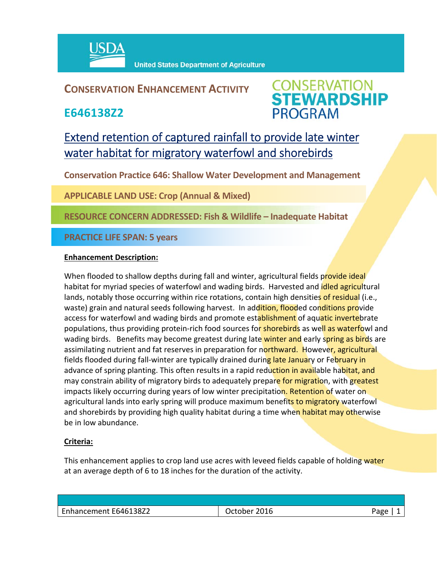

## **CONSERVATION ENHANCEMENT ACTIVITY**

**E646138Z2**



# Extend retention of captured rainfall to provide late winter water habitat for migratory waterfowl and shorebirds

**Conservation Practice 646: Shallow Water Development and Management**

**APPLICABLE LAND USE: Crop (Annual & Mixed)**

**RESOURCE CONCERN ADDRESSED: Fish & Wildlife – Inadequate Habitat**

**PRACTICE LIFE SPAN: 5 years**

### **Enhancement Description:**

When flooded to shallow depths during fall and winter, agricultural fields provide ideal habitat for myriad species of waterfowl and wading birds. Harvested and *idled agricultural* lands, notably those occurring within rice rotations, contain high densities of residual (i.e., waste) grain and natural seeds following harvest. In addition, flooded conditions provide access for waterfowl and wading birds and promote establishment of aquatic invertebrate populations, thus providing protein-rich food sources for **shorebirds** as well as waterfowl and wading birds. Benefits may become greatest during late winter and early spring as birds are assimilating nutrient and fat reserves in preparation for northward. However, agricultural fields flooded during fall-winter are typically drained during late January or February in advance of spring planting. This often results in a rapid reduction in available habitat, and may constrain ability of migratory birds to adequately prepare for migration, with greatest impacts likely occurring during years of low winter precipitation. Retention of water on agricultural lands into early spring will produce maximum benefits to migratory waterfowl and shorebirds by providing high quality habitat during a time when habitat may otherwise be in low abundance.

### **Criteria:**

This enhancement applies to crop land use acres with leveed fields capable of holding water at an average depth of 6 to 18 inches for the duration of the activity.

| E646138Z2<br>2016<br>Enhancement<br>Page<br><b>October</b> |  |
|------------------------------------------------------------|--|